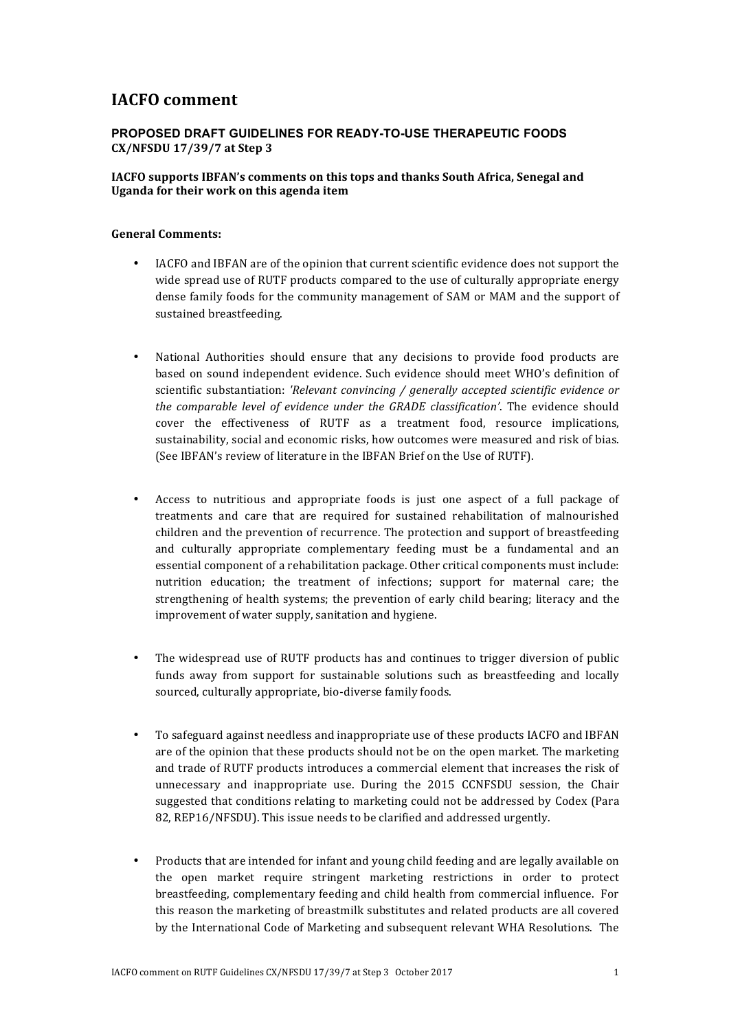## **IACFO** comment

## **PROPOSED DRAFT GUIDELINES FOR READY-TO-USE THERAPEUTIC FOODS CX/NFSDU 17/39/7 at Step 3**

## **IACFO** supports IBFAN's comments on this tops and thanks South Africa, Senegal and **Uganda for their work on this agenda item**

## **General Comments:**

- IACFO and IBFAN are of the opinion that current scientific evidence does not support the wide spread use of RUTF products compared to the use of culturally appropriate energy dense family foods for the community management of SAM or MAM and the support of sustained breastfeeding.
- National Authorities should ensure that any decisions to provide food products are based on sound independent evidence. Such evidence should meet WHO's definition of scientific substantiation: 'Relevant convincing / generally accepted scientific evidence or *the comparable level of evidence under the GRADE classification'*. The evidence should cover the effectiveness of RUTF as a treatment food, resource implications, sustainability, social and economic risks, how outcomes were measured and risk of bias. (See IBFAN's review of literature in the IBFAN Brief on the Use of RUTF).
- Access to nutritious and appropriate foods is just one aspect of a full package of treatments and care that are required for sustained rehabilitation of malnourished children and the prevention of recurrence. The protection and support of breastfeeding and culturally appropriate complementary feeding must be a fundamental and an essential component of a rehabilitation package. Other critical components must include: nutrition education; the treatment of infections; support for maternal care; the strengthening of health systems; the prevention of early child bearing; literacy and the improvement of water supply, sanitation and hygiene.
- The widespread use of RUTF products has and continues to trigger diversion of public funds away from support for sustainable solutions such as breastfeeding and locally sourced, culturally appropriate, bio-diverse family foods.
- To safeguard against needless and inappropriate use of these products IACFO and IBFAN are of the opinion that these products should not be on the open market. The marketing and trade of RUTF products introduces a commercial element that increases the risk of unnecessary and inappropriate use. During the 2015 CCNFSDU session, the Chair suggested that conditions relating to marketing could not be addressed by Codex (Para 82, REP16/NFSDU). This issue needs to be clarified and addressed urgently.
- Products that are intended for infant and young child feeding and are legally available on the open market require stringent marketing restrictions in order to protect breastfeeding, complementary feeding and child health from commercial influence. For this reason the marketing of breastmilk substitutes and related products are all covered by the International Code of Marketing and subsequent relevant WHA Resolutions. The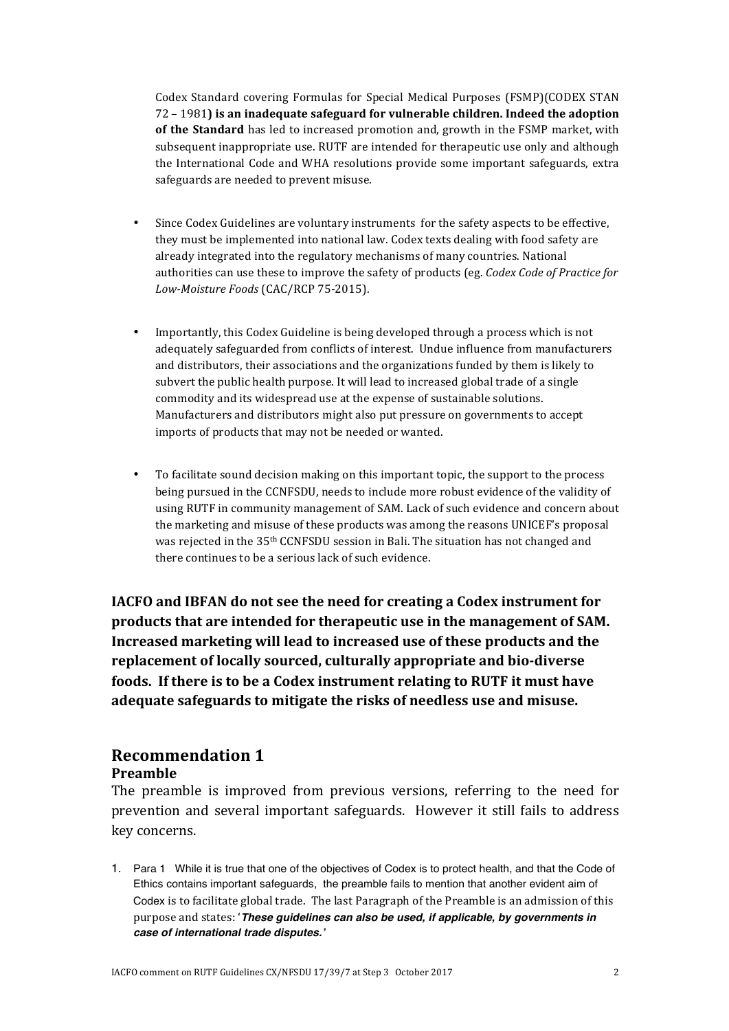Codex Standard covering Formulas for Special Medical Purposes (FSMP)(CODEX STAN 72 - 1981) is an inadequate safeguard for vulnerable children. Indeed the adoption of the Standard has led to increased promotion and, growth in the FSMP market, with subsequent inappropriate use. RUTF are intended for therapeutic use only and although the International Code and WHA resolutions provide some important safeguards, extra safeguards are needed to prevent misuse.

- Since Codex Guidelines are voluntary instruments for the safety aspects to be effective. they must be implemented into national law. Codex texts dealing with food safety are already integrated into the regulatory mechanisms of many countries. National authorities can use these to improve the safety of products (eg. *Codex Code of Practice for Low-Moisture Foods* (CAC/RCP 75-2015).
- Importantly, this Codex Guideline is being developed through a process which is not adequately safeguarded from conflicts of interest. Undue influence from manufacturers and distributors, their associations and the organizations funded by them is likely to subvert the public health purpose. It will lead to increased global trade of a single commodity and its widespread use at the expense of sustainable solutions. Manufacturers and distributors might also put pressure on governments to accept imports of products that may not be needed or wanted.
- To facilitate sound decision making on this important topic, the support to the process being pursued in the CCNFSDU, needs to include more robust evidence of the validity of using RUTF in community management of SAM. Lack of such evidence and concern about the marketing and misuse of these products was among the reasons UNICEF's proposal was rejected in the 35<sup>th</sup> CCNFSDU session in Bali. The situation has not changed and there continues to be a serious lack of such evidence.

**IACFO** and **IBFAN** do not see the need for creating a Codex instrument for products that are intended for therapeutic use in the management of SAM. **Increased marketing will lead to increased use of these products and the replacement of locally sourced, culturally appropriate and bio-diverse foods.** If there is to be a Codex instrument relating to RUTF it must have adequate safeguards to mitigate the risks of needless use and misuse.

# **Recommendation 1**

## **Preamble**

The preamble is improved from previous versions, referring to the need for prevention and several important safeguards. However it still fails to address key concerns. 

1. Para 1 While it is true that one of the objectives of Codex is to protect health, and that the Code of Ethics contains important safeguards, the preamble fails to mention that another evident aim of Codex is to facilitate global trade. The last Paragraph of the Preamble is an admission of this purpose and states: 'These guidelines can also be used, if applicable, by governments in *case of international trade disputes.'*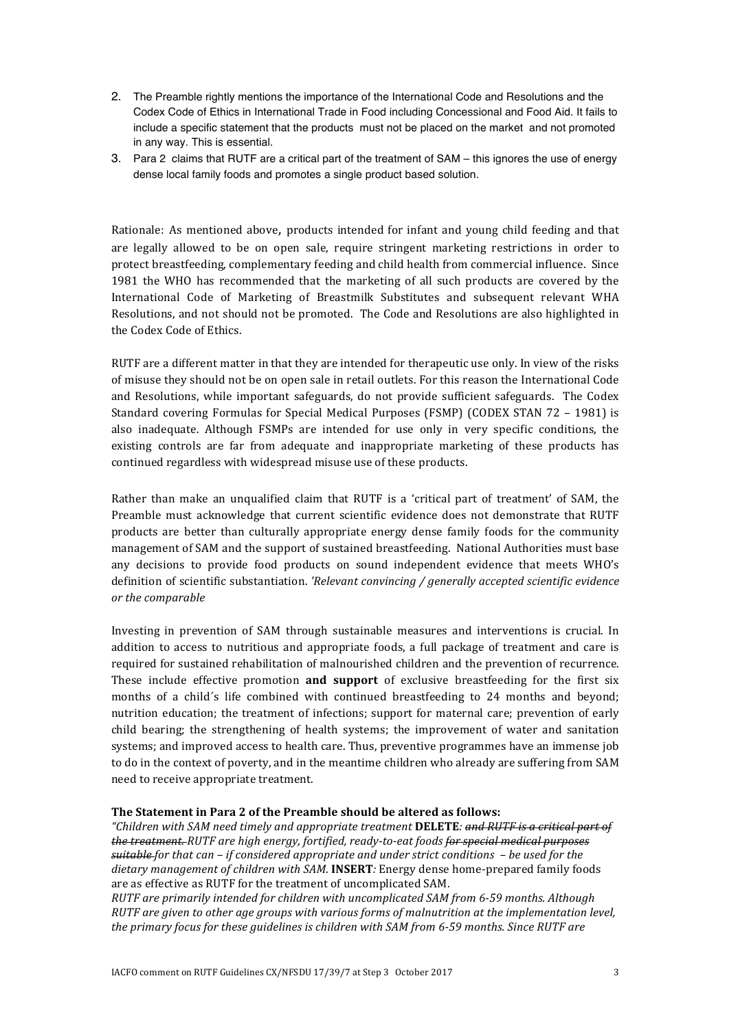- 2. The Preamble rightly mentions the importance of the International Code and Resolutions and the Codex Code of Ethics in International Trade in Food including Concessional and Food Aid. It fails to include a specific statement that the products must not be placed on the market and not promoted in any way. This is essential.
- 3. Para 2 claims that RUTF are a critical part of the treatment of SAM this ignores the use of energy dense local family foods and promotes a single product based solution.

Rationale: As mentioned above, products intended for infant and young child feeding and that are legally allowed to be on open sale, require stringent marketing restrictions in order to protect breastfeeding, complementary feeding and child health from commercial influence. Since 1981 the WHO has recommended that the marketing of all such products are covered by the International Code of Marketing of Breastmilk Substitutes and subsequent relevant WHA Resolutions, and not should not be promoted. The Code and Resolutions are also highlighted in the Codex Code of Ethics.

RUTF are a different matter in that they are intended for therapeutic use only. In view of the risks of misuse they should not be on open sale in retail outlets. For this reason the International Code and Resolutions, while important safeguards, do not provide sufficient safeguards. The Codex Standard covering Formulas for Special Medical Purposes (FSMP) (CODEX STAN  $72 - 1981$ ) is also inadequate. Although FSMPs are intended for use only in very specific conditions, the existing controls are far from adequate and inappropriate marketing of these products has continued regardless with widespread misuse use of these products.

Rather than make an unqualified claim that RUTF is a 'critical part of treatment' of SAM, the Preamble must acknowledge that current scientific evidence does not demonstrate that RUTF products are better than culturally appropriate energy dense family foods for the community management of SAM and the support of sustained breastfeeding. National Authorities must base any decisions to provide food products on sound independent evidence that meets WHO's definition of scientific substantiation. *'Relevant convincing / generally accepted scientific evidence or the comparable* 

Investing in prevention of SAM through sustainable measures and interventions is crucial. In addition to access to nutritious and appropriate foods, a full package of treatment and care is required for sustained rehabilitation of malnourished children and the prevention of recurrence. These include effective promotion **and support** of exclusive breastfeeding for the first six months of a child's life combined with continued breastfeeding to 24 months and beyond; nutrition education; the treatment of infections; support for maternal care; prevention of early child bearing; the strengthening of health systems; the improvement of water and sanitation systems; and improved access to health care. Thus, preventive programmes have an immense job to do in the context of poverty, and in the meantime children who already are suffering from SAM need to receive appropriate treatment.

### **The Statement in Para 2 of the Preamble should be altered as follows:**

*"Children with SAM need timely and appropriate treatment* **DELETE***: and RUTF is a critical part of the treatment.* RUTF are high energy, fortified, ready-to-eat foods for special medical purposes *suitable for that can – if considered appropriate and under strict conditions – be used for the* dietary management of children with SAM. **INSERT**: Energy dense home-prepared family foods are as effective as RUTF for the treatment of uncomplicated SAM.

*RUTF* are primarily intended for children with uncomplicated SAM from 6-59 months. Although *RUTF* are given to other age groups with various forms of malnutrition at the implementation level, the primary focus for these guidelines is children with SAM from 6-59 months. Since RUTF are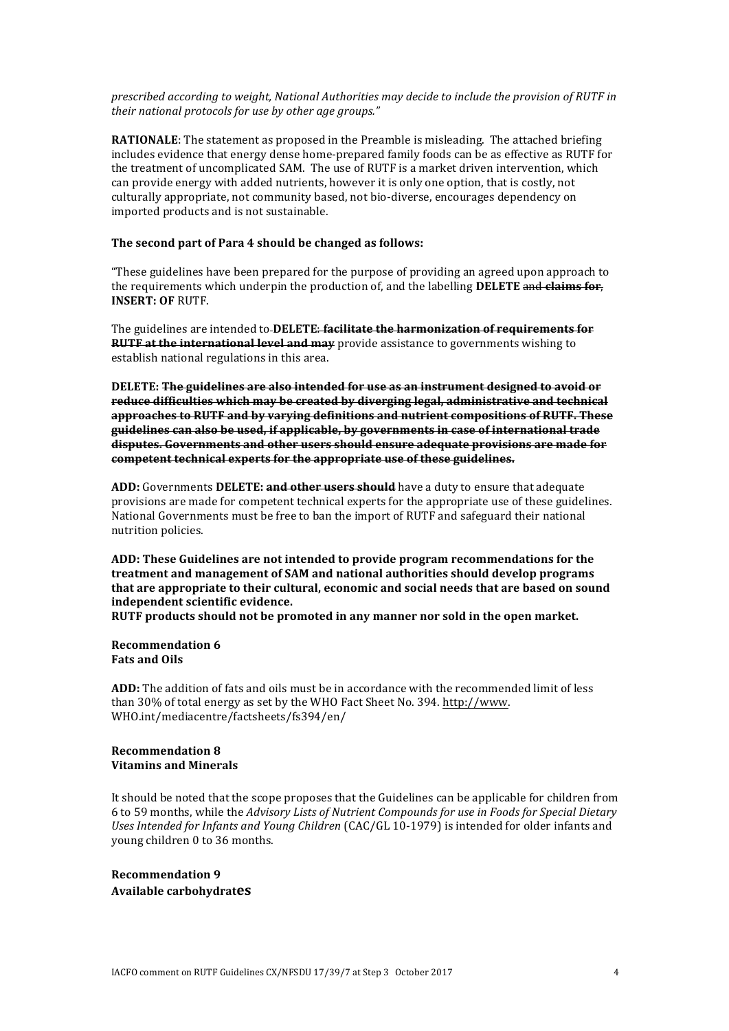*prescribed according to weight, National Authorities may decide to include the provision of RUTF in* their national protocols for use by other age groups."

**RATIONALE**: The statement as proposed in the Preamble is misleading. The attached briefing includes evidence that energy dense home-prepared family foods can be as effective as RUTF for the treatment of uncomplicated SAM. The use of RUTF is a market driven intervention, which can provide energy with added nutrients, however it is only one option, that is costly, not culturally appropriate, not community based, not bio-diverse, encourages dependency on imported products and is not sustainable.

#### The second part of Para 4 should be changed as follows:

"These guidelines have been prepared for the purpose of providing an agreed upon approach to the requirements which underpin the production of, and the labelling **DELETE** and **claims for**, **INSERT: OF** RUTF. 

The guidelines are intended to **DELETE<del>: facilitate the harmonization of requirements for</del> RUTF at the international level and may** provide assistance to governments wishing to establish national regulations in this area.

**DELETE:** The guidelines are also intended for use as an instrument designed to avoid or reduce difficulties which may be created by diverging legal, administrative and technical approaches to RUTF and by varying definitions and nutrient compositions of RUTF. These guidelines can also be used, if applicable, by governments in case of international trade disputes. Governments and other users should ensure adequate provisions are made for competent technical experts for the appropriate use of these guidelines.

**ADD:** Governments **DELETE:** and other users should have a duty to ensure that adequate provisions are made for competent technical experts for the appropriate use of these guidelines. National Governments must be free to ban the import of RUTF and safeguard their national nutrition policies.

ADD: These Guidelines are not intended to provide program recommendations for the **treatment and management of SAM and national authorities should develop programs** that are appropriate to their cultural, economic and social needs that are based on sound independent scientific evidence.

**RUTF** products should not be promoted in any manner nor sold in the open market.

**Recommendation 6 Fats and Oils** 

ADD: The addition of fats and oils must be in accordance with the recommended limit of less than 30% of total energy as set by the WHO Fact Sheet No. 394. http://www. WHO.int/mediacentre/factsheets/fs394/en/

#### **Recommendation 8 Vitamins and Minerals**

It should be noted that the scope proposes that the Guidelines can be applicable for children from 6 to 59 months, while the *Advisory Lists of Nutrient Compounds for use in Foods for Special Dietary* Uses Intended for Infants and Young Children (CAC/GL 10-1979) is intended for older infants and young children 0 to 36 months.

**Recommendation 9 Available carbohydrates**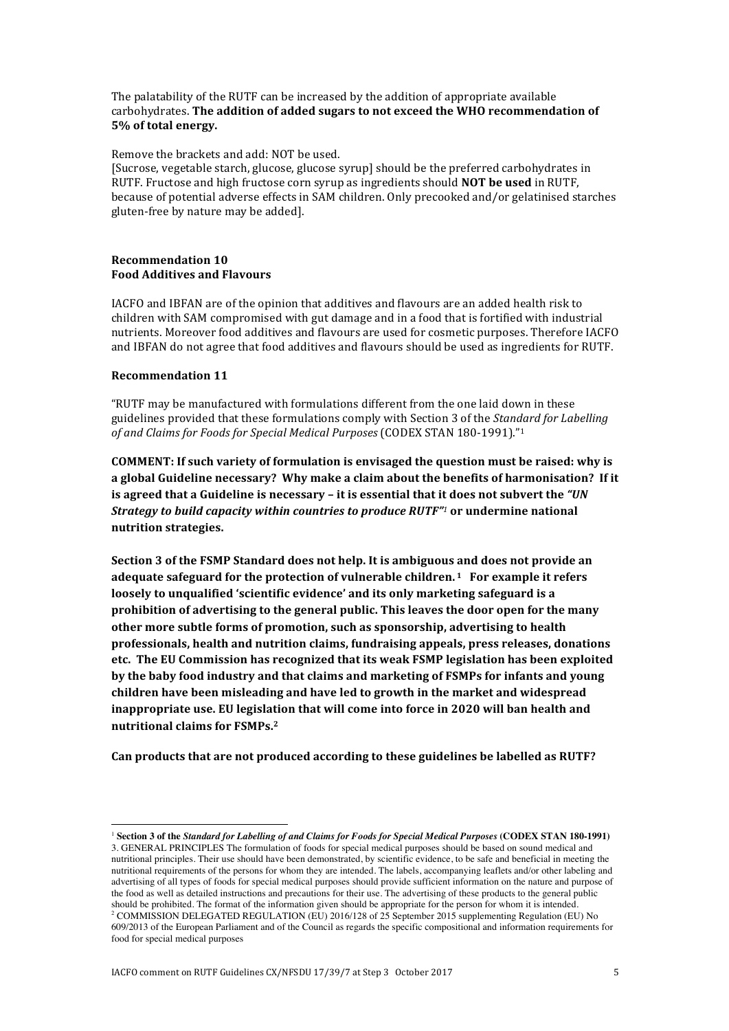The palatability of the RUTF can be increased by the addition of appropriate available carbohydrates. The addition of added sugars to not exceed the WHO recommendation of **5%** of total energy.

Remove the brackets and add: NOT be used.

[Sucrose, vegetable starch, glucose, glucose syrup] should be the preferred carbohydrates in RUTF. Fructose and high fructose corn syrup as ingredients should **NOT be used** in RUTF. because of potential adverse effects in SAM children. Only precooked and/or gelatinised starches gluten-free by nature may be added].

#### **Recommendation 10 Food Additives and Flavours**

IACFO and IBFAN are of the opinion that additives and flavours are an added health risk to children with SAM compromised with gut damage and in a food that is fortified with industrial nutrients. Moreover food additives and flavours are used for cosmetic purposes. Therefore IACFO and IBFAN do not agree that food additives and flavours should be used as ingredients for RUTF.

#### **Recommendation 11**

"RUTF may be manufactured with formulations different from the one laid down in these guidelines provided that these formulations comply with Section 3 of the *Standard for Labelling of and Claims for Foods for Special Medical Purposes* (CODEX STAN 180-1991)."<sup>1</sup>

**COMMENT:** If such variety of formulation is envisaged the question must be raised: why is a global Guideline necessary? Why make a claim about the benefits of harmonisation? If it **is agreed that a Guideline is necessary – it is essential that it does not subvert the "UN** *Strategy to build capacity within countries to produce RUTF"<sup>1</sup> or undermine national* **nutrition strategies.** 

**Section 3 of the FSMP Standard does not help. It is ambiguous and does not provide an adequate safeguard for the protection of vulnerable children. <sup>1</sup> For example it refers** loosely to unqualified 'scientific evidence' and its only marketing safeguard is a **prohibition of advertising to the general public. This leaves the door open for the many other more subtle forms of promotion, such as sponsorship, advertising to health** professionals, health and nutrition claims, fundraising appeals, press releases, donations **etc.** The EU Commission has recognized that its weak FSMP legislation has been exploited by the baby food industry and that claims and marketing of FSMPs for infants and young children have been misleading and have led to growth in the market and widespread **inappropriate use. EU legislation that will come into force in 2020 will ban health and nutritional claims for FSMPs.2**

Can products that are not produced according to these guidelines be labelled as RUTF?

 

<sup>1</sup> **Section 3 of the** *Standard for Labelling of and Claims for Foods for Special Medical Purposes* **(CODEX STAN 180-1991)**  3. GENERAL PRINCIPLES The formulation of foods for special medical purposes should be based on sound medical and nutritional principles. Their use should have been demonstrated, by scientific evidence, to be safe and beneficial in meeting the nutritional requirements of the persons for whom they are intended. The labels, accompanying leaflets and/or other labeling and advertising of all types of foods for special medical purposes should provide sufficient information on the nature and purpose of the food as well as detailed instructions and precautions for their use. The advertising of these products to the general public should be prohibited. The format of the information given should be appropriate for the person for whom it is intended. <sup>2</sup> COMMISSION DELEGATED REGULATION (EU) 2016/128 of 25 September 2015 supplementing Regulation (EU) No 609/2013 of the European Parliament and of the Council as regards the specific compositional and information requirements for food for special medical purposes